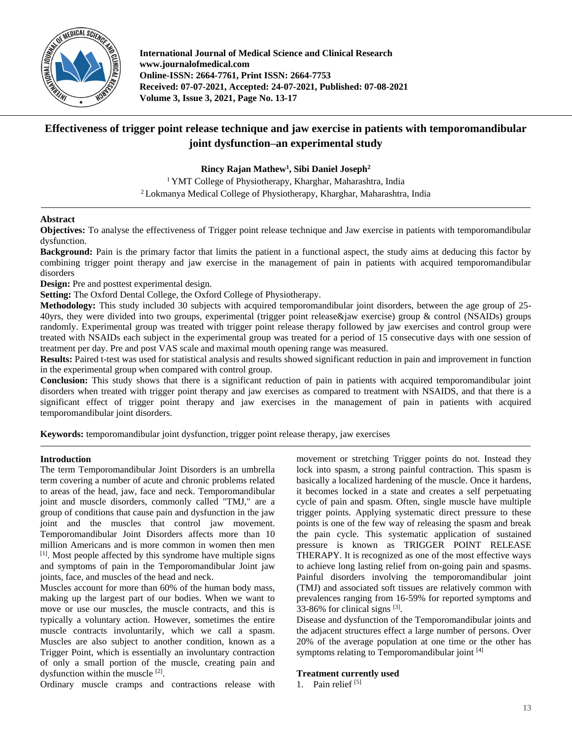

**International Journal of Medical Science and Clinical Research www.journalofmedical.com Online-ISSN: 2664-7761, Print ISSN: 2664-7753 Received: 07-07-2021, Accepted: 24-07-2021, Published: 07-08-2021 Volume 3, Issue 3, 2021, Page No. 13-17**

# **Effectiveness of trigger point release technique and jaw exercise in patients with temporomandibular joint dysfunction–an experimental study**

**Rincy Rajan Mathew<sup>1</sup> , Sibi Daniel Joseph<sup>2</sup>**

<sup>1</sup> YMT College of Physiotherapy, Kharghar, Maharashtra, India <sup>2</sup> Lokmanya Medical College of Physiotherapy, Kharghar, Maharashtra, India

# **Abstract**

**Objectives:** To analyse the effectiveness of Trigger point release technique and Jaw exercise in patients with temporomandibular dysfunction.

**Background:** Pain is the primary factor that limits the patient in a functional aspect, the study aims at deducing this factor by combining trigger point therapy and jaw exercise in the management of pain in patients with acquired temporomandibular disorders

**Design:** Pre and posttest experimental design.

**Setting:** The Oxford Dental College, the Oxford College of Physiotherapy.

**Methodology:** This study included 30 subjects with acquired temporomandibular joint disorders, between the age group of 25- 40yrs, they were divided into two groups, experimental (trigger point release&jaw exercise) group & control (NSAIDs) groups randomly. Experimental group was treated with trigger point release therapy followed by jaw exercises and control group were treated with NSAIDs each subject in the experimental group was treated for a period of 15 consecutive days with one session of treatment per day. Pre and post VAS scale and maximal mouth opening range was measured.

**Results:** Paired t-test was used for statistical analysis and results showed significant reduction in pain and improvement in function in the experimental group when compared with control group.

**Conclusion:** This study shows that there is a significant reduction of pain in patients with acquired temporomandibular joint disorders when treated with trigger point therapy and jaw exercises as compared to treatment with NSAIDS, and that there is a significant effect of trigger point therapy and jaw exercises in the management of pain in patients with acquired temporomandibular joint disorders.

**Keywords:** temporomandibular joint dysfunction, trigger point release therapy, jaw exercises

#### **Introduction**

The term Temporomandibular Joint Disorders is an umbrella term covering a number of acute and chronic problems related to areas of the head, jaw, face and neck. Temporomandibular joint and muscle disorders, commonly called "TMJ," are a group of conditions that cause pain and dysfunction in the jaw joint and the muscles that control jaw movement. Temporomandibular Joint Disorders affects more than 10 million Americans and is more common in women then men [1] . Most people affected by this syndrome have multiple signs and symptoms of pain in the Temporomandibular Joint jaw joints, face, and muscles of the head and neck.

Muscles account for more than 60% of the human body mass, making up the largest part of our bodies. When we want to move or use our muscles, the muscle contracts, and this is typically a voluntary action. However, sometimes the entire muscle contracts involuntarily, which we call a spasm. Muscles are also subject to another condition, known as a Trigger Point, which is essentially an involuntary contraction of only a small portion of the muscle, creating pain and dysfunction within the muscle [2].

Ordinary muscle cramps and contractions release with

movement or stretching Trigger points do not. Instead they lock into spasm, a strong painful contraction. This spasm is basically a localized hardening of the muscle. Once it hardens, it becomes locked in a state and creates a self perpetuating cycle of pain and spasm. Often, single muscle have multiple trigger points. Applying systematic direct pressure to these points is one of the few way of releasing the spasm and break the pain cycle. This systematic application of sustained pressure is known as TRIGGER POINT RELEASE THERAPY. It is recognized as one of the most effective ways to achieve long lasting relief from on-going pain and spasms. Painful disorders involving the temporomandibular joint (TMJ) and associated soft tissues are relatively common with prevalences ranging from 16-59% for reported symptoms and 33-86% for clinical signs [3].

Disease and dysfunction of the Temporomandibular joints and the adjacent structures effect a large number of persons. Over 20% of the average population at one time or the other has symptoms relating to Temporomandibular joint  $^{[4]}$ 

# **Treatment currently used**

1. Pain relief  $[5]$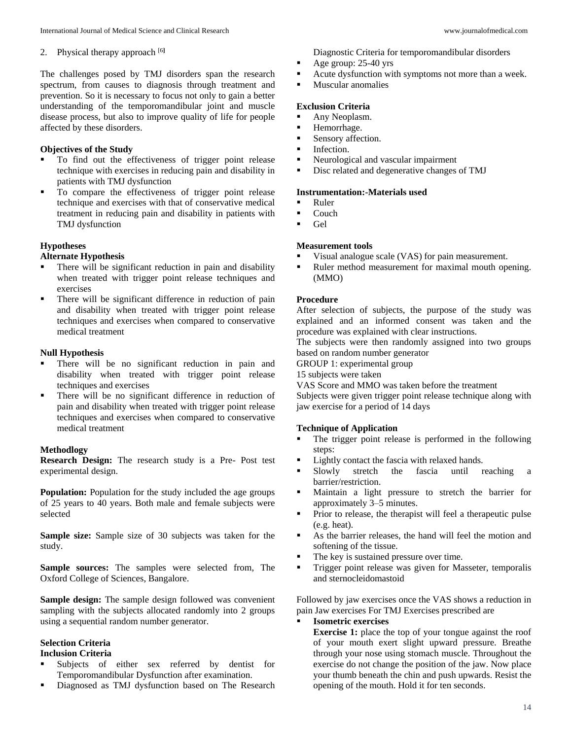# 2. Physical therapy approach [6**]**

The challenges posed by TMJ disorders span the research spectrum, from causes to diagnosis through treatment and prevention. So it is necessary to focus not only to gain a better understanding of the temporomandibular joint and muscle disease process, but also to improve quality of life for people affected by these disorders.

# **Objectives of the Study**

- $\blacksquare$  To find out the effectiveness of trigger point release technique with exercises in reducing pain and disability in patients with TMJ dysfunction
- To compare the effectiveness of trigger point release technique and exercises with that of conservative medical treatment in reducing pain and disability in patients with TMJ dysfunction

# **Hypotheses**

#### **Alternate Hypothesis**

- **There will be significant reduction in pain and disability** when treated with trigger point release techniques and exercises
- There will be significant difference in reduction of pain and disability when treated with trigger point release techniques and exercises when compared to conservative medical treatment

# **Null Hypothesis**

- There will be no significant reduction in pain and disability when treated with trigger point release techniques and exercises
- There will be no significant difference in reduction of pain and disability when treated with trigger point release techniques and exercises when compared to conservative medical treatment

# **Methodlogy**

**Research Design:** The research study is a Pre- Post test experimental design.

**Population:** Population for the study included the age groups of 25 years to 40 years. Both male and female subjects were selected

**Sample size:** Sample size of 30 subjects was taken for the study.

**Sample sources:** The samples were selected from, The Oxford College of Sciences, Bangalore.

**Sample design:** The sample design followed was convenient sampling with the subjects allocated randomly into 2 groups using a sequential random number generator.

#### **Selection Criteria Inclusion Criteria**

- Subjects of either sex referred by dentist for Temporomandibular Dysfunction after examination.
- Diagnosed as TMJ dysfunction based on The Research

Diagnostic Criteria for temporomandibular disorders

- Age group: 25-40 yrs
- Acute dysfunction with symptoms not more than a week.
- **Muscular anomalies**

#### **Exclusion Criteria**

- Any Neoplasm.
- Hemorrhage.
- Sensory affection.
- **Infection.**
- Neurological and vascular impairment
- Disc related and degenerative changes of TMJ

#### **Instrumentation:-Materials used**

- Ruler
- Couch
- Gel

# **Measurement tools**

- Visual analogue scale (VAS) for pain measurement.
- Ruler method measurement for maximal mouth opening. (MMO)

#### **Procedure**

After selection of subjects, the purpose of the study was explained and an informed consent was taken and the procedure was explained with clear instructions.

The subjects were then randomly assigned into two groups based on random number generator

GROUP 1: experimental group

15 subjects were taken

VAS Score and MMO was taken before the treatment

Subjects were given trigger point release technique along with jaw exercise for a period of 14 days

# **Technique of Application**

- The trigger point release is performed in the following steps:
- Lightly contact the fascia with relaxed hands.
- Slowly stretch the fascia until reaching a barrier/restriction.
- Maintain a light pressure to stretch the barrier for approximately 3–5 minutes.
- Prior to release, the therapist will feel a therapeutic pulse (e.g. heat).
- As the barrier releases, the hand will feel the motion and softening of the tissue.
- The key is sustained pressure over time.
- **Trigger point release was given for Masseter, temporalis** and sternocleidomastoid

Followed by jaw exercises once the VAS shows a reduction in pain Jaw exercises For TMJ Exercises prescribed are

**Isometric exercises**

**Exercise 1:** place the top of your tongue against the roof of your mouth exert slight upward pressure. Breathe through your nose using stomach muscle. Throughout the exercise do not change the position of the jaw. Now place your thumb beneath the chin and push upwards. Resist the opening of the mouth. Hold it for ten seconds.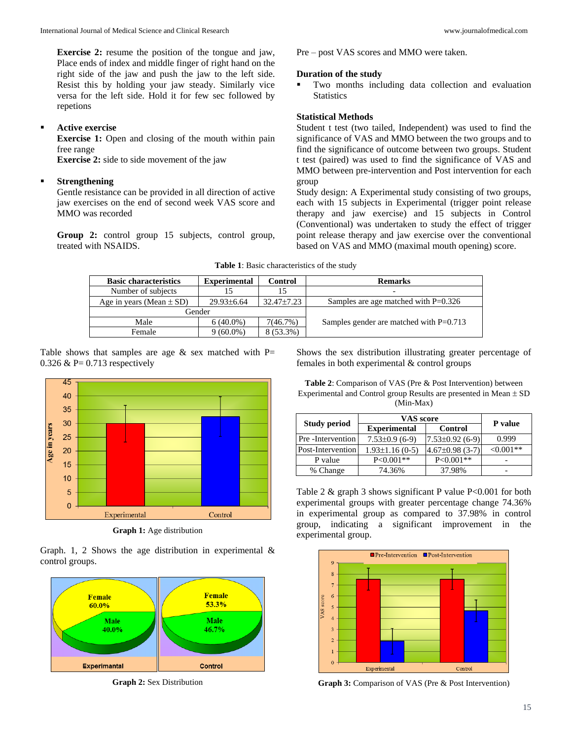**Exercise 2:** resume the position of the tongue and jaw, Place ends of index and middle finger of right hand on the right side of the jaw and push the jaw to the left side. Resist this by holding your jaw steady. Similarly vice versa for the left side. Hold it for few sec followed by repetions

# **Active exercise**

**Exercise 1:** Open and closing of the mouth within pain free range

**Exercise 2:** side to side movement of the jaw

#### **Strengthening**

Gentle resistance can be provided in all direction of active jaw exercises on the end of second week VAS score and MMO was recorded

**Group 2:** control group 15 subjects, control group, treated with NSAIDS.

Pre – post VAS scores and MMO were taken.

#### **Duration of the study**

 Two months including data collection and evaluation **Statistics** 

#### **Statistical Methods**

Student t test (two tailed, Independent) was used to find the significance of VAS and MMO between the two groups and to find the significance of outcome between two groups. Student t test (paired) was used to find the significance of VAS and MMO between pre-intervention and Post intervention for each group

Study design: A Experimental study consisting of two groups, each with 15 subjects in Experimental (trigger point release therapy and jaw exercise) and 15 subjects in Control (Conventional) was undertaken to study the effect of trigger point release therapy and jaw exercise over the conventional based on VAS and MMO (maximal mouth opening) score.

**Table 1**: Basic characteristics of the study

| <b>Basic characteristics</b> | <b>Experimental</b> | Control    | <b>Remarks</b>                            |  |
|------------------------------|---------------------|------------|-------------------------------------------|--|
| Number of subjects           |                     | 15         | $\overline{\phantom{0}}$                  |  |
| Age in years (Mean $\pm$ SD) | $29.93\pm 6.64$     | 32.47±7.23 | Samples are age matched with $P=0.326$    |  |
| Gender                       |                     |            |                                           |  |
| Male                         | $6(40.0\%)$         | 7(46.7%)   | Samples gender are matched with $P=0.713$ |  |
| Female                       | $9(60.0\%)$         | 8 (53.3%)  |                                           |  |

Table shows that samples are age  $&$  sex matched with P= 0.326  $& P= 0.713$  respectively



**Graph 1:** Age distribution

Graph. 1, 2 Shows the age distribution in experimental  $\&$ control groups.



**Graph 2:** Sex Distribution

Shows the sex distribution illustrating greater percentage of females in both experimental & control groups

**Table 2**: Comparison of VAS (Pre & Post Intervention) between Experimental and Control group Results are presented in Mean  $\pm$  SD (Min-Max)

|                     | <b>VAS</b> score     | <b>P</b> value     |              |  |
|---------------------|----------------------|--------------------|--------------|--|
| <b>Study period</b> | <b>Experimental</b>  | Control            |              |  |
| Pre -Intervention   | $7.53\pm0.9$ (6-9)   | $7.53\pm0.92(6-9)$ | 0.999        |  |
| Post-Intervention   | $1.93 \pm 1.16(0-5)$ | $4.67\pm0.98(3-7)$ | ${<}0.001**$ |  |
| P value             | $P < 0.001**$        | $P < 0.001**$      |              |  |
| % Change            | 74.36%               | 37.98%             |              |  |

Table 2 & graph 3 shows significant P value P<0.001 for both experimental groups with greater percentage change 74.36% in experimental group as compared to 37.98% in control group, indicating a significant improvement in the experimental group.



**Graph 3:** Comparison of VAS (Pre & Post Intervention)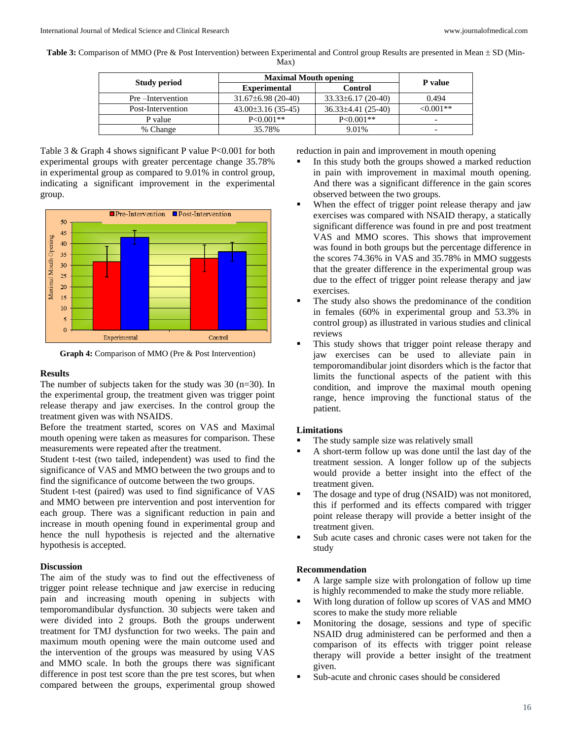**Table 3:** Comparison of MMO (Pre & Post Intervention) between Experimental and Control group Results are presented in Mean  $\pm$  SD (Min-Max)

|                     | <b>Maximal Mouth opening</b> |                        |            |
|---------------------|------------------------------|------------------------|------------|
| <b>Study period</b> | <b>Experimental</b>          | Control                | P value    |
| Pre-Intervention    | $31.67\pm6.98(20-40)$        | $33.33\pm 6.17(20-40)$ | 0.494      |
| Post-Intervention   | $43.00\pm3.16(35-45)$        | $36.33\pm4.41(25-40)$  | $<0.001**$ |
| P value             | $P<0.001**$                  | $P<0.001**$            |            |
| % Change            | 35.78%                       | 9.01%                  | -          |

Table 3 & Graph 4 shows significant P value P<0.001 for both experimental groups with greater percentage change 35.78% in experimental group as compared to 9.01% in control group, indicating a significant improvement in the experimental group.



**Graph 4:** Comparison of MMO (Pre & Post Intervention)

#### **Results**

The number of subjects taken for the study was 30 (n=30). In the experimental group, the treatment given was trigger point release therapy and jaw exercises. In the control group the treatment given was with NSAIDS.

Before the treatment started, scores on VAS and Maximal mouth opening were taken as measures for comparison. These measurements were repeated after the treatment.

Student t-test (two tailed, independent) was used to find the significance of VAS and MMO between the two groups and to find the significance of outcome between the two groups.

Student t-test (paired) was used to find significance of VAS and MMO between pre intervention and post intervention for each group. There was a significant reduction in pain and increase in mouth opening found in experimental group and hence the null hypothesis is rejected and the alternative hypothesis is accepted.

#### **Discussion**

The aim of the study was to find out the effectiveness of trigger point release technique and jaw exercise in reducing pain and increasing mouth opening in subjects with temporomandibular dysfunction. 30 subjects were taken and were divided into 2 groups. Both the groups underwent treatment for TMJ dysfunction for two weeks. The pain and maximum mouth opening were the main outcome used and the intervention of the groups was measured by using VAS and MMO scale. In both the groups there was significant difference in post test score than the pre test scores, but when compared between the groups, experimental group showed reduction in pain and improvement in mouth opening

- In this study both the groups showed a marked reduction in pain with improvement in maximal mouth opening. And there was a significant difference in the gain scores observed between the two groups.
- When the effect of trigger point release therapy and jaw exercises was compared with NSAID therapy, a statically significant difference was found in pre and post treatment VAS and MMO scores. This shows that improvement was found in both groups but the percentage difference in the scores 74.36% in VAS and 35.78% in MMO suggests that the greater difference in the experimental group was due to the effect of trigger point release therapy and jaw exercises.
- The study also shows the predominance of the condition in females (60% in experimental group and 53.3% in control group) as illustrated in various studies and clinical reviews
- This study shows that trigger point release therapy and jaw exercises can be used to alleviate pain in temporomandibular joint disorders which is the factor that limits the functional aspects of the patient with this condition, and improve the maximal mouth opening range, hence improving the functional status of the patient.

# **Limitations**

- The study sample size was relatively small
- A short-term follow up was done until the last day of the treatment session. A longer follow up of the subjects would provide a better insight into the effect of the treatment given.
- The dosage and type of drug (NSAID) was not monitored, this if performed and its effects compared with trigger point release therapy will provide a better insight of the treatment given.
- Sub acute cases and chronic cases were not taken for the study

#### **Recommendation**

- A large sample size with prolongation of follow up time is highly recommended to make the study more reliable.
- With long duration of follow up scores of VAS and MMO scores to make the study more reliable
- Monitoring the dosage, sessions and type of specific NSAID drug administered can be performed and then a comparison of its effects with trigger point release therapy will provide a better insight of the treatment given.
- Sub-acute and chronic cases should be considered